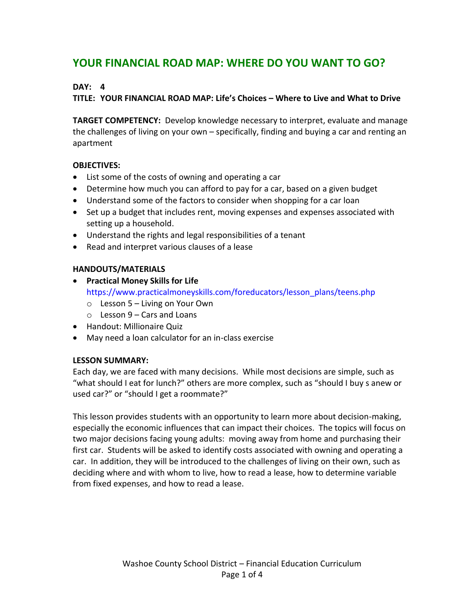# **YOUR FINANCIAL ROAD MAP: WHERE DO YOU WANT TO GO?**

# **DAY: 4**

## **TITLE: YOUR FINANCIAL ROAD MAP: Life's Choices – Where to Live and What to Drive**

**TARGET COMPETENCY:** Develop knowledge necessary to interpret, evaluate and manage the challenges of living on your own – specifically, finding and buying a car and renting an apartment

## **OBJECTIVES:**

- List some of the costs of owning and operating a car
- Determine how much you can afford to pay for a car, based on a given budget
- Understand some of the factors to consider when shopping for a car loan
- Set up a budget that includes rent, moving expenses and expenses associated with setting up a household.
- Understand the rights and legal responsibilities of a tenant
- Read and interpret various clauses of a lease

## **HANDOUTS/MATERIALS**

- **Practical Money Skills for Life** https://www.practicalmoneyskills.com/foreducators/lesson\_plans/teens.php
	- o Lesson 5 Living on Your Own
	- o Lesson 9 Cars and Loans
- Handout: Millionaire Quiz
- May need a loan calculator for an in-class exercise

### **LESSON SUMMARY:**

Each day, we are faced with many decisions. While most decisions are simple, such as "what should I eat for lunch?" others are more complex, such as "should I buy s anew or used car?" or "should I get a roommate?"

This lesson provides students with an opportunity to learn more about decision-making, especially the economic influences that can impact their choices. The topics will focus on two major decisions facing young adults: moving away from home and purchasing their first car. Students will be asked to identify costs associated with owning and operating a car. In addition, they will be introduced to the challenges of living on their own, such as deciding where and with whom to live, how to read a lease, how to determine variable from fixed expenses, and how to read a lease.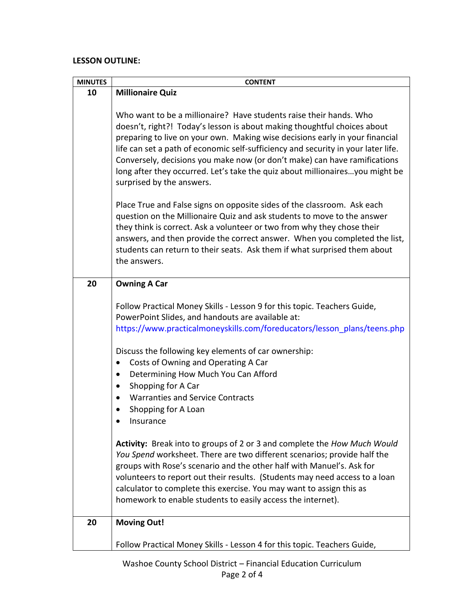# **LESSON OUTLINE:**

| <b>MINUTES</b> | <b>CONTENT</b>                                                                                                                                                                                                                                                                                                                                                                                                                                                                                                                                                                                                                                                                                                                                                                                                                                                                                                             |
|----------------|----------------------------------------------------------------------------------------------------------------------------------------------------------------------------------------------------------------------------------------------------------------------------------------------------------------------------------------------------------------------------------------------------------------------------------------------------------------------------------------------------------------------------------------------------------------------------------------------------------------------------------------------------------------------------------------------------------------------------------------------------------------------------------------------------------------------------------------------------------------------------------------------------------------------------|
| 10             | <b>Millionaire Quiz</b>                                                                                                                                                                                                                                                                                                                                                                                                                                                                                                                                                                                                                                                                                                                                                                                                                                                                                                    |
|                | Who want to be a millionaire? Have students raise their hands. Who<br>doesn't, right?! Today's lesson is about making thoughtful choices about<br>preparing to live on your own. Making wise decisions early in your financial<br>life can set a path of economic self-sufficiency and security in your later life.<br>Conversely, decisions you make now (or don't make) can have ramifications<br>long after they occurred. Let's take the quiz about millionaires you might be<br>surprised by the answers.<br>Place True and False signs on opposite sides of the classroom. Ask each<br>question on the Millionaire Quiz and ask students to move to the answer<br>they think is correct. Ask a volunteer or two from why they chose their<br>answers, and then provide the correct answer. When you completed the list,<br>students can return to their seats. Ask them if what surprised them about<br>the answers. |
| 20             | <b>Owning A Car</b>                                                                                                                                                                                                                                                                                                                                                                                                                                                                                                                                                                                                                                                                                                                                                                                                                                                                                                        |
|                | Follow Practical Money Skills - Lesson 9 for this topic. Teachers Guide,<br>PowerPoint Slides, and handouts are available at:<br>https://www.practicalmoneyskills.com/foreducators/lesson_plans/teens.php<br>Discuss the following key elements of car ownership:<br>Costs of Owning and Operating A Car<br>Determining How Much You Can Afford<br>$\bullet$<br>Shopping for A Car<br>$\bullet$<br><b>Warranties and Service Contracts</b><br>Shopping for A Loan<br>insurance<br>Activity: Break into to groups of 2 or 3 and complete the How Much Would<br>You Spend worksheet. There are two different scenarios; provide half the<br>groups with Rose's scenario and the other half with Manuel's. Ask for<br>volunteers to report out their results. (Students may need access to a loan                                                                                                                             |
|                | calculator to complete this exercise. You may want to assign this as                                                                                                                                                                                                                                                                                                                                                                                                                                                                                                                                                                                                                                                                                                                                                                                                                                                       |
|                | homework to enable students to easily access the internet).                                                                                                                                                                                                                                                                                                                                                                                                                                                                                                                                                                                                                                                                                                                                                                                                                                                                |
| 20             | <b>Moving Out!</b>                                                                                                                                                                                                                                                                                                                                                                                                                                                                                                                                                                                                                                                                                                                                                                                                                                                                                                         |
|                | Follow Practical Money Skills - Lesson 4 for this topic. Teachers Guide,                                                                                                                                                                                                                                                                                                                                                                                                                                                                                                                                                                                                                                                                                                                                                                                                                                                   |

Washoe County School District – Financial Education Curriculum Page 2 of 4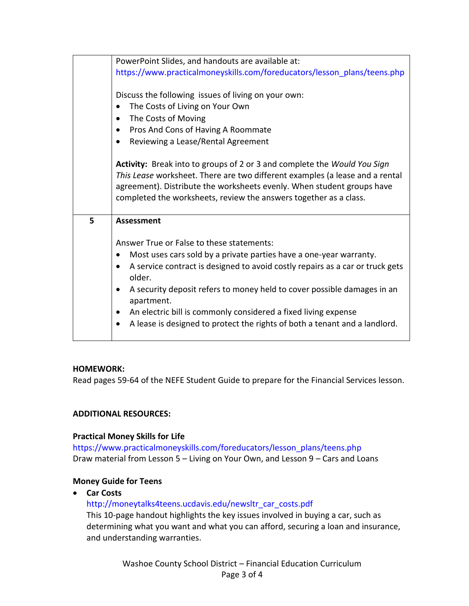|   | PowerPoint Slides, and handouts are available at:                                  |
|---|------------------------------------------------------------------------------------|
|   | https://www.practicalmoneyskills.com/foreducators/lesson_plans/teens.php           |
|   |                                                                                    |
|   | Discuss the following issues of living on your own:                                |
|   | The Costs of Living on Your Own                                                    |
|   | The Costs of Moving<br>$\bullet$                                                   |
|   | Pros And Cons of Having A Roommate<br>$\bullet$                                    |
|   | Reviewing a Lease/Rental Agreement<br>$\bullet$                                    |
|   |                                                                                    |
|   | Activity: Break into to groups of 2 or 3 and complete the Would You Sign           |
|   | This Lease worksheet. There are two different examples (a lease and a rental       |
|   | agreement). Distribute the worksheets evenly. When student groups have             |
|   | completed the worksheets, review the answers together as a class.                  |
|   |                                                                                    |
| 5 | <b>Assessment</b>                                                                  |
|   | Answer True or False to these statements:                                          |
|   | Most uses cars sold by a private parties have a one-year warranty.<br>$\bullet$    |
|   | A service contract is designed to avoid costly repairs as a car or truck gets<br>٠ |
|   | older.                                                                             |
|   | A security deposit refers to money held to cover possible damages in an<br>٠       |
|   | apartment.                                                                         |
|   | An electric bill is commonly considered a fixed living expense<br>$\bullet$        |
|   | A lease is designed to protect the rights of both a tenant and a landlord.         |
|   |                                                                                    |

### **HOMEWORK:**

Read pages 59-64 of the NEFE Student Guide to prepare for the Financial Services lesson.

## **ADDITIONAL RESOURCES:**

### **Practical Money Skills for Life**

https://www.practicalmoneyskills.com/foreducators/lesson\_plans/teens.php Draw material from Lesson 5 – Living on Your Own, and Lesson 9 – Cars and Loans

## **Money Guide for Teens**

**Car Costs**

### http://moneytalks4teens.ucdavis.edu/newsltr\_car\_costs.pdf

This 10-page handout highlights the key issues involved in buying a car, such as determining what you want and what you can afford, securing a loan and insurance, and understanding warranties.

> Washoe County School District – Financial Education Curriculum Page 3 of 4